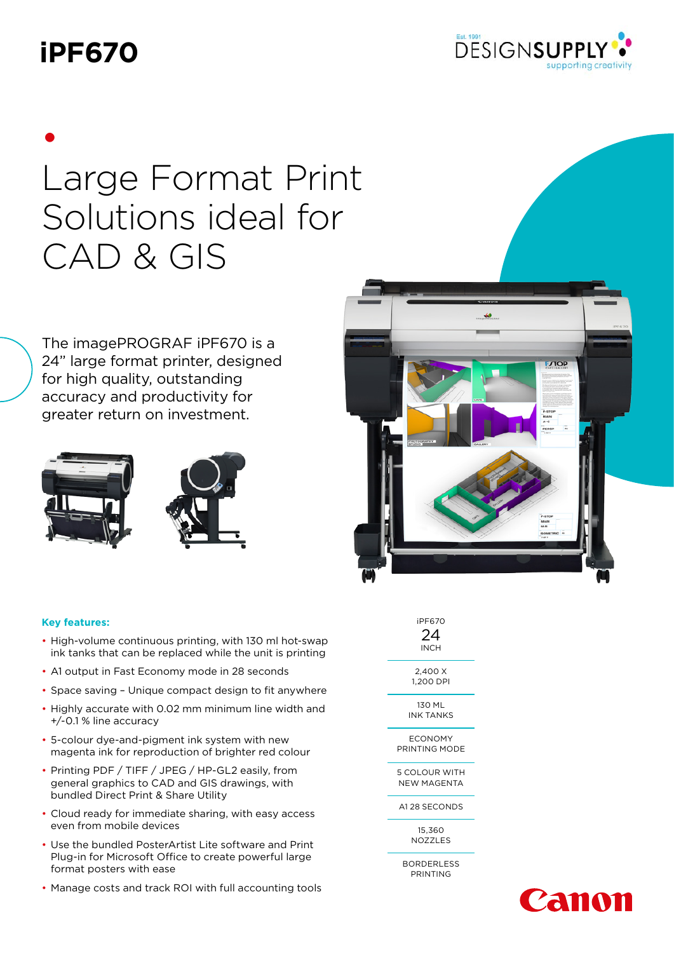## **iPF670**



# • Large Format Print Solutions ideal for CAD & GIS

The imagePROGRAF iPF670 is a 24" large format printer, designed for high quality, outstanding accuracy and productivity for greater return on investment.





#### **Key features:**

- High-volume continuous printing, with 130 ml hot-swap ink tanks that can be replaced while the unit is printing
- A1 output in Fast Economy mode in 28 seconds
- Space saving Unique compact design to fit anywhere
- Highly accurate with 0.02 mm minimum line width and +/-0.1 % line accuracy
- 5-colour dye-and-pigment ink system with new magenta ink for reproduction of brighter red colour
- Printing PDF / TIFF / JPEG / HP-GL2 easily, from general graphics to CAD and GIS drawings, with bundled Direct Print & Share Utility
- Cloud ready for immediate sharing, with easy access even from mobile devices
- Use the bundled PosterArtist Lite software and Print Plug-in for Microsoft Office to create powerful large format posters with ease
- Manage costs and track ROI with full accounting tools



| iPF670<br>24<br>INCH                |
|-------------------------------------|
| 2.400 X<br>1,200 DPI                |
| 130 ML<br>INK TANKS                 |
| ECONOMY<br>PRINTING MODE            |
| <b>5 COLOUR WITH</b><br>NEW MAGENTA |
| A128 SECONDS                        |
| 15.360<br>NOZZLES                   |

BORDERLESS PRINTING